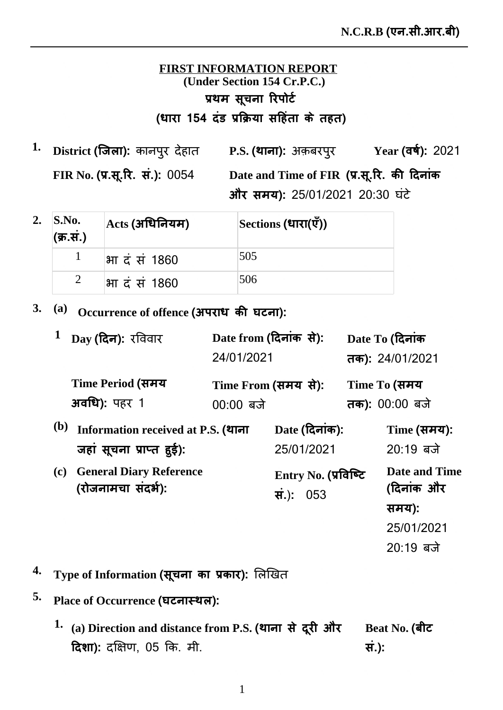## **FIRST INFORMATION REPORT I.I.F.-I (Under Section 154 Cr.P.C.)** प्रथम सूचना रिपोर्ट (धारा 154 दंड प्रक्रिया सहिता के तहत)

**1. P.S. District जिला):** कानपुर देहात P.S. **(थाना):** अक़बरपुर Year **( FIR No. (प्र.सू.रि. सं.): 0054** प्र.सू.रि. स.): 0054 Date and Time of FIR (प्र.सू.रि. की दिनाक **और समय): 25/01/2021 20:30 घंटे** Year (वर्ष): 2021

| 2. | S.No.<br>(क्र.सं.) | $ {\rm Acts}$ (अधिनियम) | Sections (धारा(एँ)) |
|----|--------------------|-------------------------|---------------------|
|    |                    | भा दं सं 1860           | 505                 |
|    |                    | भा दं सं 1860           | 506                 |

 $3.$  (a) Occurrence of offence (अपराध की घटना):

|    | Day (दिन): रविवार                                                            | Date from (दिनांक से):<br>24/01/2021 |                                           | Date To (दिनांक<br>तक): 24/01/2021          |
|----|------------------------------------------------------------------------------|--------------------------------------|-------------------------------------------|---------------------------------------------|
|    | Time Period (समय<br><b>अवधि):</b> पहर 1                                      | $00:00$ बजे                          | Time From (समय):                          | Time To (समय<br><b>तक): 00:00 बजे</b>       |
|    | <b>(b)</b><br>Information received at P.S. (थाना<br>जहां सूचना प्राप्त हुई): |                                      | Date (दिनांक):<br>25/01/2021              | $Time (समय):$<br>$20:19$ बजे                |
|    | <b>General Diary Reference</b><br>(c)<br>(रोजनामचा संदर्भ):                  |                                      | Entry No. (प्रविष्टि<br>$\vec{f}$ .): 053 | <b>Date and Time</b><br>(दिनांक और<br>समय): |
|    |                                                                              |                                      |                                           | 25/01/2021<br>$20:19$ बजे                   |
| 4. | Type of Information (सूचना का प्रकार): लिखित                                 |                                      |                                           |                                             |
| 5. | Place of Occurrence (घटनास्थल):                                              |                                      |                                           |                                             |
|    | (a) Direction and distance from P.S. (थाना से दूरी और                        |                                      |                                           | Beat No. (बीट                               |

**Beat No.** सं.): थाना से दूरी और **दिशा):** दक्षिण, 05 कि. मी.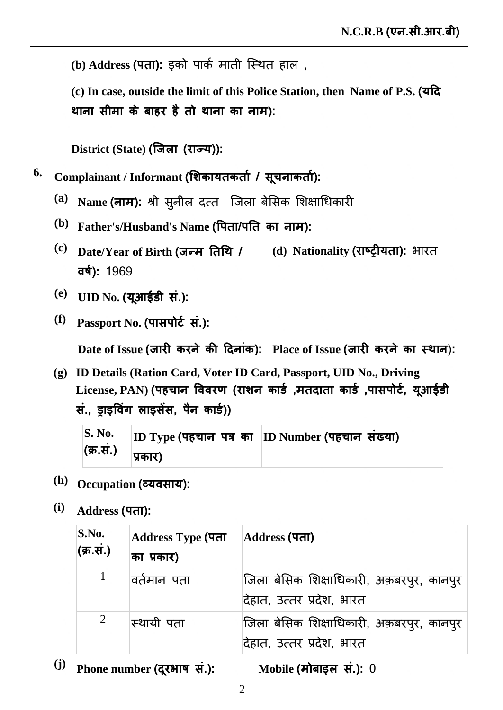(**b**) **Address (पता):** इको पार्क माती स्थित हाल ,

**(c) In case, outside the limit of this Police Station, then Name of P.S. Ǒ** थाना सीमा के बाहर है तो थाना का नाम):

 $\text{District (State) ( �जिला (राज्य)):$ 

**6. Complainant / Informant ͧȡȡ[ Ǘȡȡ[**

- $^{(a)}$  <code>Name</code> (नाम): श्री सुनील दत्त जिला बेसिक शिक्षाधिकारी
- $\bf{(b)}$   $\bf{Father's/Husband's Name (PtAT/4G and F) :}$
- $\bf (c)$   $\bf$  Date/Year of Birth (जन्म तिथि *।* **<sub>[14]</sub>**  $\frac{1969}{2}$ **(d) Nationality (राष्ट्रीयता):** भारत
- $\dot{h}$  UID No. (यूआईडी सं.):
- $(f)$  **Passport No. (पासपोर्ट सं.):**

 $\mathbf{D}$ ate of Issue (जारी करने की दिनांक): Place of Issue (जारी करने का स्थान):

**(g) ID Details (Ration Card, Voter ID Card, Passport, UID No., Driving**  License, PAN) **(पहचान विवरण (राशन कार्ड ,मतदाता कार्ड ,पासपोर्ट, यूआईडी** सं.. डाडविंग लाडसेंस, पैन कार्ड))

| <b>S. No.</b> |         | ID Type (पहचान पत्र का ID Number (पहचान संख्या) |
|---------------|---------|-------------------------------------------------|
| (क्र.सं.)     | प्रकार) |                                                 |

- $(h)$  Occupation (व्यवसाय):
- **(i) Address ȡ**

| S.No.<br>(क्र.सं.) | Address Type (पता<br>का प्रकार) | Address (पता)                                                          |
|--------------------|---------------------------------|------------------------------------------------------------------------|
|                    | वितेमान पता                     | जिला बेसिक शिक्षाधिकारी, अक़बरपुर, कानपुर<br>दिहात, उत्तर प्रदेश, भारत |
| 2                  | स्थायी पता                      | जिला बेसिक शिक्षाधिकारी, अक़बरपुर, कानपुर<br>देहात, उत्तर प्रदेश, भारत |

**(j) Phone number Ǘȡ Ȳ Mobile** 

**Mobile (मोबाइल सं.): 0**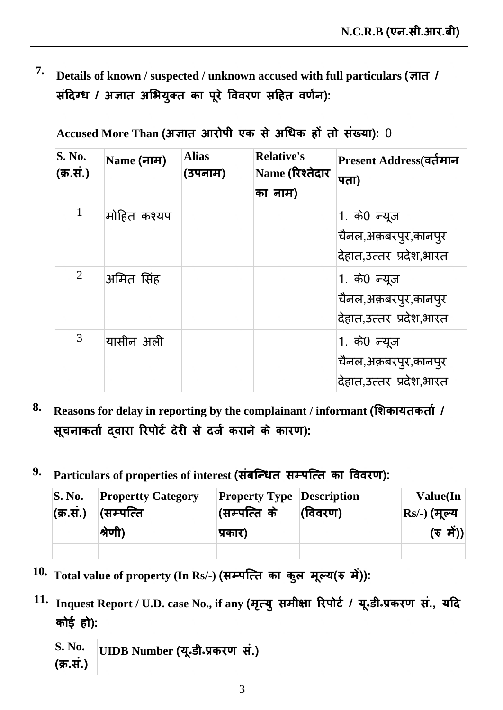7. Details of known / suspected / unknown accused with full particulars (ज्ञात / संदिग्ध / अज्ञात अभियुक्त का पूरे विवरण सहित वर्णन):

| <b>S. No.</b><br>(क्र.सं.) | Name (नाम)  | <b>Alias</b><br>(उपनाम) | <b>Relative's</b><br>Name (रिश्तेदार)<br>का नाम) | Present Address(वर्तमान<br>पता)                                 |
|----------------------------|-------------|-------------------------|--------------------------------------------------|-----------------------------------------------------------------|
| 1                          | मोहित कश्यप |                         |                                                  | 1. के0 न्यूज<br>चैनल,अक़बरपुर,कानपुर<br>देहात,उत्तर प्रदेश,भारत |
| $\overline{2}$             | अमित सिंह   |                         |                                                  | 1. के0 न्यूज<br>चैनल,अक़बरपुर,कानपुर<br>देहात,उत्तर प्रदेश,भारत |
| 3                          | यासीन अली   |                         |                                                  | 1. के0 न्यूज<br>चैनल,अक़बरपुर,कानपुर<br>देहात,उत्तर प्रदेश,भारत |

Accused More Than (अज्ञात आरोपी एक से अधिक हों तो संख्या): 0

- 8. Reasons for delay in reporting by the complainant / informant (शिकायतकर्ता / सूचनाकर्ता दवारा रिपोर्ट देरी से दर्ज कराने के कारण):
- 9. Particulars of properties of interest (संबन्धित सम्पत्ति का विवरण):

| <b>S. No.</b> | <b>Propertty Category</b><br>$\left( \overline{p}$ .सं.) (सम्पत्ति | <b>Property Type Description</b><br>(सम्पत्ति के | (विवरण) | Value(In<br>$\ket{\rm{Rs}}$ -) (मूल्य                                 |
|---------------|--------------------------------------------------------------------|--------------------------------------------------|---------|-----------------------------------------------------------------------|
|               | श्रेणी)                                                            | प्रकार)                                          |         | $(\overline{\mathbf{v}} \hspace{0.1cm} \overrightarrow{\mathbf{n}}))$ |
|               |                                                                    |                                                  |         |                                                                       |

10. Total value of property (In Rs/-) (सम्पत्ति का कुल मूल्य(रु में)):

## 11. Inquest Report / U.D. case No., if any (मृत्यु समीक्षा रिपोर्ट / यू.डी.प्रकरण सं., यदि कोई हो):

|           | $\mathbf S.$ No. $\hphantom{a}$ $\hphantom{a}$ $\hphantom{a}$ $\hphantom{a}$ $\hphantom{a}$ $\hphantom{a}$ $\hphantom{a}$ $\hphantom{a}$ $\hphantom{a}$ $\hphantom{a}$ $\hphantom{a}$ $\hphantom{a}$ $\hphantom{a}$ $\hphantom{a}$ $\hphantom{a}$ $\hphantom{a}$ $\hphantom{a}$ $\hphantom{a}$ $\hphantom{a}$ $\hphantom{a}$ $\hphantom{a}$ |  |
|-----------|---------------------------------------------------------------------------------------------------------------------------------------------------------------------------------------------------------------------------------------------------------------------------------------------------------------------------------------------|--|
| (क्र.सं.) |                                                                                                                                                                                                                                                                                                                                             |  |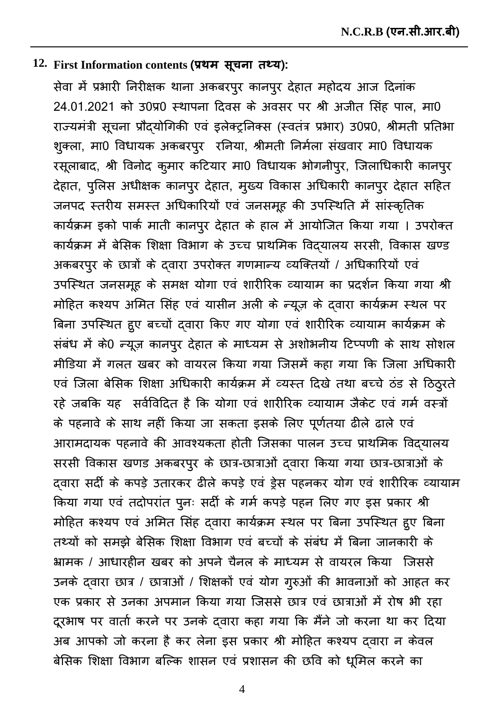## $12.$  First Information contents (प्रथम) सूचना तथ्य):

सेवा में प्रभारी निरीक्षक थाना अकबरपुर कानपुर देहात महोदय आज दिनांक 24.01.2021 को उ0प्र0 स्थापना दिवस के अवसर पर श्री अजीत सिंह पाल, मा0 राज्यमंत्री सूचना प्रौद्योगिकी एव इलेक्ट्रनिक्स (स्वतंत्र प्रभार) उ0प्र0, श्रीमती प्रतिभा शुक्ला, मा0 विधायक अकबरपुर रनिया, श्रीमती निर्मला संखवार मा0 विधायक रसूलाबाद, श्री विनोद क्**मार कटियार मा0 विधायक भोगनीपुर, जिलाधिका**री कानपुर देहात, पुलिस अधीक्षक कानपुर देहात, मुख्य विकास अधिकारी कानपुर देहात सहित जनपद स्तरीय समस्त अधिकारियों एवं जनसमूह की उपस्थिति में सांस्कृतिक कार्यक्रम इको पार्क माती कानपुर देहात के हाल में आयोजित किया गया । उपरोक्त कार्यक्रम में बेसिक शिक्षा विभाग के उच्च प्राथमिक विद्यालय सरसी, विकास खण्ड अकबरपुर के छात्रों के दवारा उपरोक्त गणमान्य व्यक्तियों / अधिकारियों एवं उपस्थित जनसमूह के समक्ष योगा एवं शारीरिक व्यायाम का प्रदर्शन किया गया श्री मोहित कश्यप अमित सिंह एवं यासीन अली के न्यूज़ के दवारा कार्यक्रम स्थल पर बिना उपस्थित हुए बच्चों द्**वारा किए गए योगा एवं शारीरिक व्यायाम का**र्यक्रम के संबंध में के0 न्यूज़ कानपुर देहात के माध्यम से अशोभनीय टिप्पणी के साथ सोशल मीडिया में गलत खबर को वायरल किया गया जिसमें कहा गया कि जिला अधिकारी एवं जिला बेसिक शिक्षा अधिकारी कार्यक्रम में व्यस्त दिखे तथा बच्चे ठंड से ठिठुरते रहे जबकि यह सर्वविदित है कि योगा एवं शारीरिक व्यायाम जैकेट एवं गर्म वस्त्रों के पहनावे के साथ नहीं किया जा सकता इसके लिए पूर्णतया ढीले ढाले एवं आरामदायक पहनावे की आवश्यकता होती जिसका पालन उच्च प्राथमिक विद्यालय सरसी विकास खणड अकबरपुर के छात्र-छात्राओं दवारा किया गया छात्र-छात्राओं के दवारा सर्दी के कपड़े उतारकर ढीले कपड़े एवं ड्रेस पहनकर योग एवं शारीरिक व्यायाम किया गया एवं तदोपरांत पुनः सर्दी के गर्म कपड़े पहन लिए गए इस प्रकार श्री मोहित कश्यप एवं अमित सिंह दवारा कार्यक्रम स्थल पर बिना उपस्थित हुए बिना तथ्यों को समझे बेसिक शिक्षा विभाग एवं बच्चों के संबंध में बिना जानकारी के भ्रामक / आधारहीन खबर को अपने चैनल के माध्यम से वायरल किया जिससे उनके द्वारा छात्र / छात्राओं / शिक्षकों एवं योग गुरुओं की भावनाओं को आहत कर एक प्रकार से उनका अपमान किया गया जिससे छात्र एवं छात्राओं में रोष भी रहा दूरभाष पर वार्ता करने पर उनके दवारा कहा गया कि मैंने जो करना था कर दिया अब आपको जो करना है कर लेना इस प्रकार श्री मोहित कश्यप दवारा न केवल बेसिक शिक्षा विभाग बल्कि शासन एवं प्रशासन की छवि को धूमिल करने का

4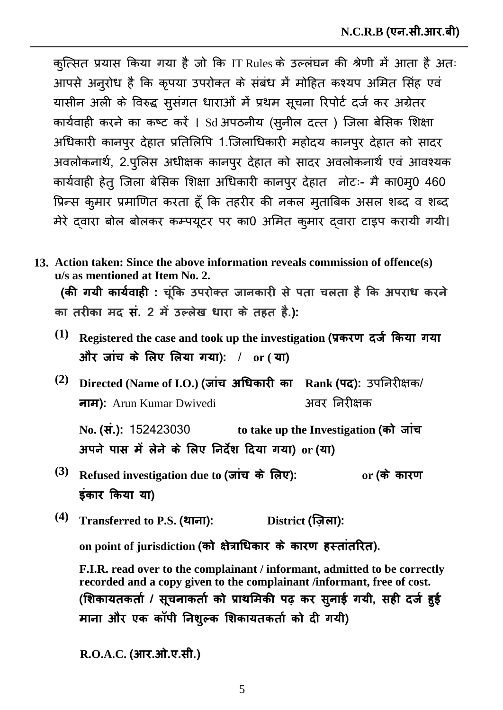कुत्सित प्रयास किया गया है जो कि IT Rules के उल्लंघन की श्रेणी में आता है अतः आपसे अनुरोध है कि कृपया उपरोक्त के संबंध में मोहित कश्यप अमित सिंह एवं यासीन अली के विरुद्ध सुसंगत धाराओं में प्रथम सूचना रिपोर्ट दर्ज कर अग्रेतर कार्यवाही करने का कष्ट करे । Sd अपठनीय (सुनील दत्त ) जिला बेसिक शिक्षा अधिकारी कानपुर देहात प्रतिलिपि 1.जिलाधिकारी महोदय कानपुर देहात को सादर अवलोकनार्थ, 2.पुलिस अधीक्षक कानपुर देहात को सादर अवलोकनार्थ एवं आवश्यक कार्यवाही हेतू जिला बेसिक शिक्षा अधिकारी कानपुर देहात जोटः- मै का0मू0 460 प्रिन्स कुमार प्रमाणित करता हूँ कि तहरीर की नकल मुताबिक असल शब्द व शब्द मेरे दवारा बोल बोलकर कम्पयूटर पर का0 अमित कुमार दवारा टाइप करायी गयी।

- **Action taken: Since the above information reveals commission of offence(s) 13. u/s as mentioned at Item No. 2. (की गयी कार्यवाही : चूंकि उपरोक्त जानकारी से पता चलता है कि अपराध करने** का तरीका मद सं. 2 में उल्लेख धारा के तहत है.):
	- $^{(1)}$  Registered the case and took up the investigation (प्रकरण दर्ज किया गया  $\frac{1}{3}$  $\frac{1}{x}$   $\frac{1}{x}$  or  $\frac{1}{x}$  or  $\frac{1}{x}$  or  $\frac{1}{x}$
	- (2) Directed (Name of I.O.) (जांच अधिकारी का Rank (पद): उपनिरीक्षक/ नाम): Arun Kumar Dwivedi अवर निरीक्षक

No. (स.): 152423030 **to take up the Investigation (को जा**च  $\lambda$ फ्वे पास मे लेने के लिए निर्देश दिया गया)  $\alpha$ r (या)

- <sup>(3)</sup> Refused investigation due to (जांच के लिए):  $\qquad$  or (के कारण इंकार किया या)
- <sup>(4)</sup> Transferred to P.S. (थाना): District ( District (ज़िला):

on point of jurisdiction (को क्षेत्राधिकार के कारण हस्तातरित).

**F.I.R. read over to the complainant / informant, admitted to be correctly recorded and a copy given to the complainant /informant, free of cost.**  (शिकायतकतो / सूचनाकतो को प्राथमिकी पढ़ कर सुनाई गयी, सही दर्ज हुई) माना और एक कॉपी निशुल्क शिकायतकर्ता को दी गयी)

<u>R.O.A.C. (आर.ओ.ए.सी.)</u>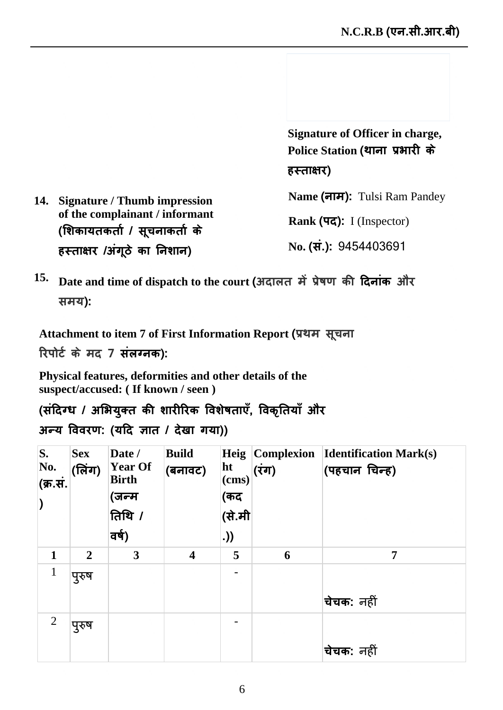**Signature of Officer in charge,**   $\bf{Police\ Station}$  (थाना प्रभारी के हस्ताक्षर)

**Name (नाम):** Tulsi Ram Pandey

Rank (पद): I (Inspector)

**No. (स.): 9454403691** 

- **14. Signature / Thumb impression of the complainant / informant**  (शिकायतकर्ता / सूचनाकर्ता के हस्ताक्षर /अंगूठे का निशान)
- $^{15.}$  Date and time of dispatch to the court (अदालत में प्रेषण की दिनांक और **समय**):

Attachment to item 7 of First Information Report (प्रथम) सूचना

रिपोर्ट के मद 7 संलग्नक):

**Physical features, deformities and other details of the suspect/accused: ( If known / seen )**

(सदिग्ध / अभियुक्त की शारीरिक विशेषताएं, विकृतियां और

अन्य विवरण: (यदि ज्ञात / देखा गया))

| S.<br>No.<br>(क्र.सं.<br>$\mathcal{E}$ | <b>Sex</b><br>(लिंग) | Date /<br><b>Year Of</b><br><b>Birth</b><br>(जन्म<br>तिथि $/$<br>वर्ष) | <b>Build</b><br>(बनावट) | ht<br>(cms)<br>(कद<br>(से.मी<br>.) | (रंग) | Heig Complexion   Identification Mark(s)<br>(पहचान चिन्ह) |
|----------------------------------------|----------------------|------------------------------------------------------------------------|-------------------------|------------------------------------|-------|-----------------------------------------------------------|
| $\mathbf{1}$                           | $\overline{2}$       | $\mathbf{3}$                                                           | $\overline{\mathbf{4}}$ | 5                                  | 6     | 7                                                         |
| $\mathbf{1}$                           | पुरुष                |                                                                        |                         |                                    |       | चिचक: नहीं                                                |
| $\overline{2}$                         | पुरुष                |                                                                        |                         |                                    |       | चेचक: नहीं                                                |